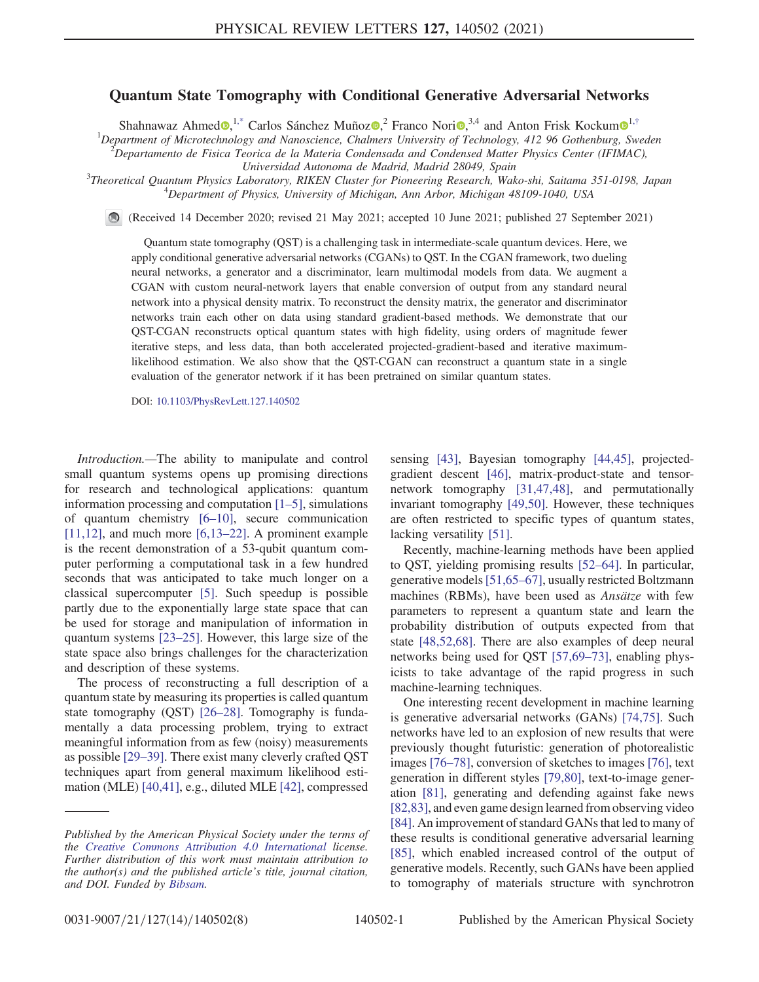## Quantum State Tomography with Conditional Generative Adversarial Networks

<span id="page-0-0"></span>Shahnawaz Ahmed $\Phi$ ,<sup>[1,\\*](#page-4-0)</sup> Carlos Sánchez Muñoz $\Phi$ , $^{2}$  Franco Nori $\Phi$ ,<sup>3,4</sup> and Anton Frisk Kockum $\Phi$ <sup>[1](https://orcid.org/0000-0002-2534-3021),[†](#page-4-1)</sup>

<sup>1</sup>Department of Microtechnology and Nanoscience, Chalmers University of Technology, 412 96 Gothenburg, Sweden <sup>2</sup>Departments de Fisies Teories de la Materia Condensada and Condensed Matter Physics Center (IEIMAC)

 $^2$ Departamento de Fisica Teorica de la Materia Condensada and Condensed Matter Physics Center (IFIMAC),

Universidad Autonoma de Madrid, Madrid 28049, Spain<br><sup>3</sup>Theoretical Quantum Physics Laboratom, PIVEN Cluster for Pieneerine Pessanah Wal

Theoretical Quantum Physics Laboratory, RIKEN Cluster for Pioneering Research, Wako-shi, Saitama 351-0198, Japan <sup>4</sup> <sup>4</sup>Department of Physics, University of Michigan, Ann Arbor, Michigan 48109-1040, USA

(Received 14 December 2020; revised 21 May 2021; accepted 10 June 2021; published 27 September 2021)

Quantum state tomography (QST) is a challenging task in intermediate-scale quantum devices. Here, we apply conditional generative adversarial networks (CGANs) to QST. In the CGAN framework, two dueling neural networks, a generator and a discriminator, learn multimodal models from data. We augment a CGAN with custom neural-network layers that enable conversion of output from any standard neural network into a physical density matrix. To reconstruct the density matrix, the generator and discriminator networks train each other on data using standard gradient-based methods. We demonstrate that our QST-CGAN reconstructs optical quantum states with high fidelity, using orders of magnitude fewer iterative steps, and less data, than both accelerated projected-gradient-based and iterative maximumlikelihood estimation. We also show that the QST-CGAN can reconstruct a quantum state in a single evaluation of the generator network if it has been pretrained on similar quantum states.

DOI: [10.1103/PhysRevLett.127.140502](https://doi.org/10.1103/PhysRevLett.127.140502)

Introduction.—The ability to manipulate and control small quantum systems opens up promising directions for research and technological applications: quantum information processing and computation [\[1](#page-4-2)–5], simulations of quantum chemistry [6–[10\]](#page-4-3), secure communication  $[11,12]$ , and much more  $[6,13-22]$  $[6,13-22]$ . A prominent example is the recent demonstration of a 53-qubit quantum computer performing a computational task in a few hundred seconds that was anticipated to take much longer on a classical supercomputer [\[5\]](#page-4-5). Such speedup is possible partly due to the exponentially large state space that can be used for storage and manipulation of information in quantum systems [\[23](#page-5-0)–25]. However, this large size of the state space also brings challenges for the characterization and description of these systems.

The process of reconstructing a full description of a quantum state by measuring its properties is called quantum state tomography (QST) [\[26](#page-5-1)–28]. Tomography is fundamentally a data processing problem, trying to extract meaningful information from as few (noisy) measurements as possible [\[29](#page-5-2)–39]. There exist many cleverly crafted QST techniques apart from general maximum likelihood estimation (MLE) [\[40,41\],](#page-5-3) e.g., diluted MLE [\[42\],](#page-5-4) compressed sensing [\[43\],](#page-5-5) Bayesian tomography [\[44,45\]](#page-5-6), projectedgradient descent [\[46\]](#page-5-7), matrix-product-state and tensornetwork tomography [\[31,47,48\],](#page-5-8) and permutationally invariant tomography [\[49,50\].](#page-5-9) However, these techniques are often restricted to specific types of quantum states, lacking versatility [\[51\]](#page-6-0).

Recently, machine-learning methods have been applied to QST, yielding promising results [\[52](#page-6-1)–64]. In particular, generative models[\[51,65](#page-6-0)–67], usually restricted Boltzmann machines (RBMs), have been used as Ansätze with few parameters to represent a quantum state and learn the probability distribution of outputs expected from that state [\[48,52,68\].](#page-5-10) There are also examples of deep neural networks being used for QST [\[57,69](#page-6-2)–73], enabling physicists to take advantage of the rapid progress in such machine-learning techniques.

One interesting recent development in machine learning is generative adversarial networks (GANs) [\[74,75\]](#page-6-3). Such networks have led to an explosion of new results that were previously thought futuristic: generation of photorealistic images [76–[78\],](#page-6-4) conversion of sketches to images [\[76\],](#page-6-4) text generation in different styles [\[79,80\]](#page-6-5), text-to-image generation [\[81\]](#page-6-6), generating and defending against fake news [\[82,83\]](#page-6-7), and even game design learned from observing video [\[84\]](#page-7-0). An improvement of standard GANs that led to many of these results is conditional generative adversarial learning [\[85\]](#page-7-1), which enabled increased control of the output of generative models. Recently, such GANs have been applied to tomography of materials structure with synchrotron

Published by the American Physical Society under the terms of the [Creative Commons Attribution 4.0 International](https://creativecommons.org/licenses/by/4.0/) license. Further distribution of this work must maintain attribution to the author(s) and the published article's title, journal citation, and DOI. Funded by [Bibsam.](https://www.kb.se/samverkan-och-utveckling/oppen-tillgang-och-bibsamkonsortiet/bibsamkonsortiet.html)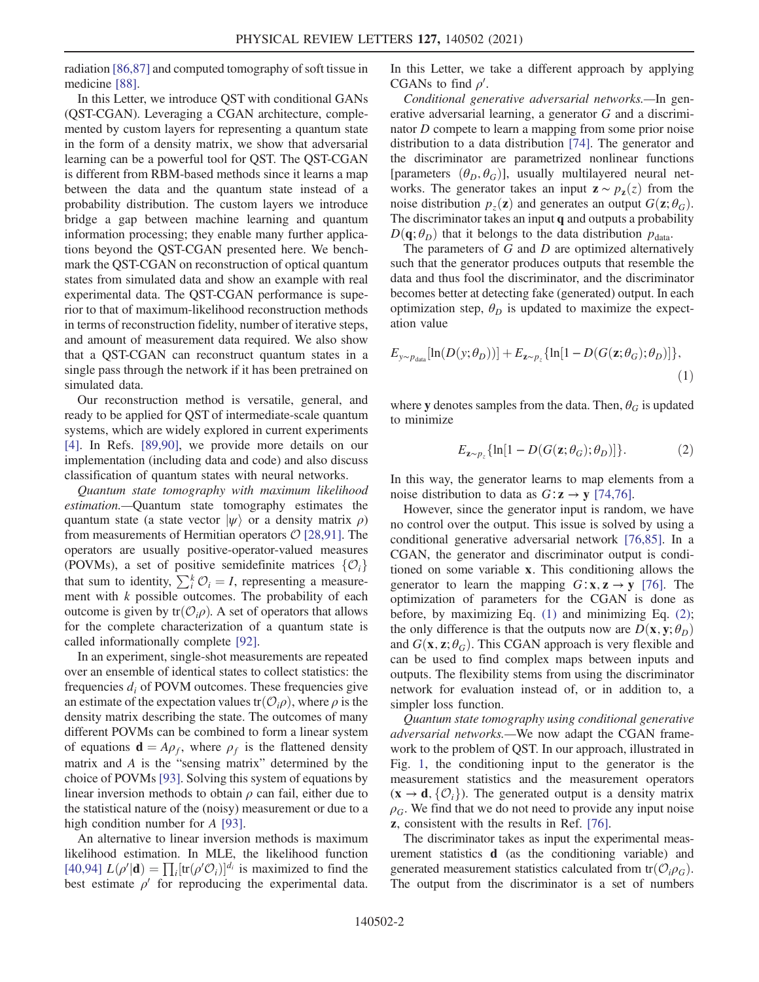radiation [\[86,87\]](#page-7-2) and computed tomography of soft tissue in medicine [\[88\]](#page-7-3).

In this Letter, we introduce QST with conditional GANs (QST-CGAN). Leveraging a CGAN architecture, complemented by custom layers for representing a quantum state in the form of a density matrix, we show that adversarial learning can be a powerful tool for QST. The QST-CGAN is different from RBM-based methods since it learns a map between the data and the quantum state instead of a probability distribution. The custom layers we introduce bridge a gap between machine learning and quantum information processing; they enable many further applications beyond the QST-CGAN presented here. We benchmark the QST-CGAN on reconstruction of optical quantum states from simulated data and show an example with real experimental data. The QST-CGAN performance is superior to that of maximum-likelihood reconstruction methods in terms of reconstruction fidelity, number of iterative steps, and amount of measurement data required. We also show that a QST-CGAN can reconstruct quantum states in a single pass through the network if it has been pretrained on simulated data.

Our reconstruction method is versatile, general, and ready to be applied for QST of intermediate-scale quantum systems, which are widely explored in current experiments [\[4\]](#page-4-6). In Refs. [\[89,90\]](#page-7-4), we provide more details on our implementation (including data and code) and also discuss classification of quantum states with neural networks.

Quantum state tomography with maximum likelihood estimation.—Quantum state tomography estimates the quantum state (a state vector  $|\psi\rangle$  or a density matrix  $\rho$ ) from measurements of Hermitian operators  $\mathcal{O}$  [\[28,91\].](#page-5-11) The operators are usually positive-operator-valued measures (POVMs), a set of positive semidefinite matrices  $\{O_i\}$ that sum to identity,  $\sum_{i}^{k} \mathcal{O}_{i} = I$ , representing a measure-<br>ment with k possible outcomes. The probability of each ment with  $k$  possible outcomes. The probability of each outcome is given by tr $(\mathcal{O}_i \rho)$ . A set of operators that allows for the complete characterization of a quantum state is called informationally complete [\[92\]](#page-7-5).

In an experiment, single-shot measurements are repeated over an ensemble of identical states to collect statistics: the frequencies  $d_i$  of POVM outcomes. These frequencies give an estimate of the expectation values  $tr(\mathcal{O}_i \rho)$ , where  $\rho$  is the density matrix describing the state. The outcomes of many different POVMs can be combined to form a linear system of equations  $\mathbf{d} = A \rho_f$ , where  $\rho_f$  is the flattened density matrix and A is the "sensing matrix" determined by the choice of POVMs [\[93\].](#page-7-6) Solving this system of equations by linear inversion methods to obtain  $\rho$  can fail, either due to the statistical nature of the (noisy) measurement or due to a high condition number for A [\[93\].](#page-7-6)

An alternative to linear inversion methods is maximum likelihood estimation. In MLE, the likelihood function [\[40,94\]](#page-5-3)  $L(\rho'|\mathbf{d}) = \prod_i [\text{tr}(\rho' \mathcal{O}_i)]^{d_i}$  is maximized to find the hest estimate  $\rho'$  for reproducing the experimental data best estimate  $\rho'$  for reproducing the experimental data. In this Letter, we take a different approach by applying CGANs to find  $\rho'$ .

Conditional generative adversarial networks.—In generative adversarial learning, a generator G and a discriminator D compete to learn a mapping from some prior noise distribution to a data distribution [\[74\]](#page-6-3). The generator and the discriminator are parametrized nonlinear functions [parameters  $(\theta_D, \theta_G)$ ], usually multilayered neural networks. The generator takes an input  $\mathbf{z} \sim p_{\mathbf{z}}(z)$  from the noise distribution  $p_z(\mathbf{z})$  and generates an output  $G(\mathbf{z}; \theta_G)$ . The discriminator takes an input q and outputs a probability  $D(\mathbf{q}; \theta_D)$  that it belongs to the data distribution  $p_{data}$ .

The parameters of  $G$  and  $D$  are optimized alternatively such that the generator produces outputs that resemble the data and thus fool the discriminator, and the discriminator becomes better at detecting fake (generated) output. In each optimization step,  $\theta_D$  is updated to maximize the expectation value

<span id="page-1-0"></span>
$$
E_{y \sim p_{data}}[\ln(D(y; \theta_D))] + E_{z \sim p_z} {\ln[1 - D(G(z; \theta_G); \theta_D)]},
$$
\n(1)

<span id="page-1-1"></span>where y denotes samples from the data. Then,  $\theta_G$  is updated to minimize

$$
E_{\mathbf{z} \sim p_z} \{ \ln[1 - D(G(\mathbf{z}; \theta_G); \theta_D)] \}.
$$
 (2)

In this way, the generator learns to map elements from a noise distribution to data as  $G: \mathbf{z} \to \mathbf{v}$  [\[74,76\].](#page-6-3)

However, since the generator input is random, we have no control over the output. This issue is solved by using a conditional generative adversarial network [\[76,85\]](#page-6-4). In a CGAN, the generator and discriminator output is conditioned on some variable x. This conditioning allows the generator to learn the mapping  $G: \mathbf{x}, \mathbf{z} \to \mathbf{y}$  [\[76\]](#page-6-4). The optimization of parameters for the CGAN is done as before, by maximizing Eq. [\(1\)](#page-1-0) and minimizing Eq. [\(2\)](#page-1-1); the only difference is that the outputs now are  $D(\mathbf{x}, \mathbf{y}; \theta_D)$ and  $G(\mathbf{x}, \mathbf{z}; \theta_G)$ . This CGAN approach is very flexible and can be used to find complex maps between inputs and outputs. The flexibility stems from using the discriminator network for evaluation instead of, or in addition to, a simpler loss function.

Quantum state tomography using conditional generative adversarial networks.—We now adapt the CGAN framework to the problem of QST. In our approach, illustrated in Fig. [1,](#page-2-0) the conditioning input to the generator is the measurement statistics and the measurement operators  $(x \rightarrow d, \{O_i\})$ . The generated output is a density matrix  $\rho_G$ . We find that we do not need to provide any input noise z, consistent with the results in Ref. [\[76\].](#page-6-4)

The discriminator takes as input the experimental measurement statistics d (as the conditioning variable) and generated measurement statistics calculated from  $tr(\mathcal{O}_{i}\rho_{G})$ . The output from the discriminator is a set of numbers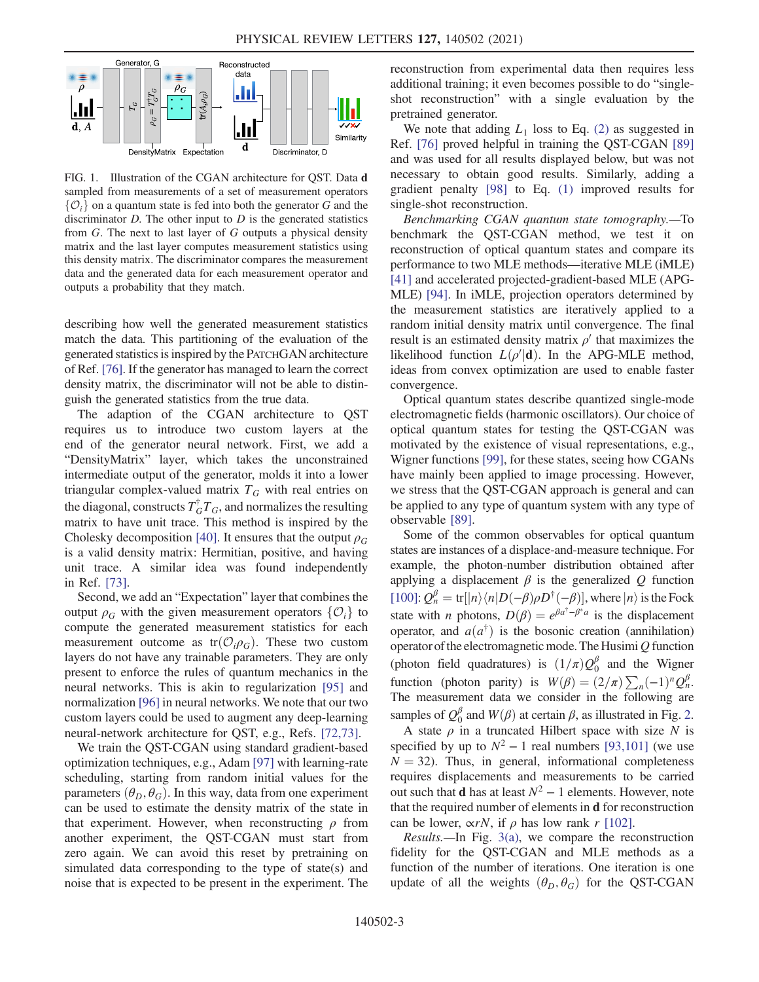<span id="page-2-0"></span>

FIG. 1. Illustration of the CGAN architecture for QST. Data d sampled from measurements of a set of measurement operators  $\{\mathcal{O}_i\}$  on a quantum state is fed into both the generator G and the discriminator  $D$ . The other input to  $D$  is the generated statistics from G. The next to last layer of G outputs a physical density matrix and the last layer computes measurement statistics using this density matrix. The discriminator compares the measurement data and the generated data for each measurement operator and outputs a probability that they match.

describing how well the generated measurement statistics match the data. This partitioning of the evaluation of the generated statistics is inspired by the PATCHGAN architecture of Ref. [\[76\].](#page-6-4) If the generator has managed to learn the correct density matrix, the discriminator will not be able to distinguish the generated statistics from the true data.

The adaption of the CGAN architecture to QST requires us to introduce two custom layers at the end of the generator neural network. First, we add a "DensityMatrix" layer, which takes the unconstrained intermediate output of the generator, molds it into a lower triangular complex-valued matrix  $T_G$  with real entries on the diagonal, constructs  $T_G^{\dagger} T_G$ , and normalizes the resulting matrix to have unit trace. This method is inspired by the Cholesky decomposition [\[40\]](#page-5-3). It ensures that the output  $\rho_G$ is a valid density matrix: Hermitian, positive, and having unit trace. A similar idea was found independently in Ref. [\[73\]](#page-6-8).

Second, we add an "Expectation" layer that combines the output  $\rho_G$  with the given measurement operators  $\{O_i\}$  to compute the generated measurement statistics for each measurement outcome as  $tr(\mathcal{O}_{i}\rho_{G})$ . These two custom layers do not have any trainable parameters. They are only present to enforce the rules of quantum mechanics in the neural networks. This is akin to regularization [\[95\]](#page-7-7) and normalization [\[96\]](#page-7-8) in neural networks. We note that our two custom layers could be used to augment any deep-learning neural-network architecture for QST, e.g., Refs. [\[72,73\]](#page-6-9).

We train the QST-CGAN using standard gradient-based optimization techniques, e.g., Adam [\[97\]](#page-7-9) with learning-rate scheduling, starting from random initial values for the parameters  $(\theta_D, \theta_G)$ . In this way, data from one experiment can be used to estimate the density matrix of the state in that experiment. However, when reconstructing  $\rho$  from another experiment, the QST-CGAN must start from zero again. We can avoid this reset by pretraining on simulated data corresponding to the type of state(s) and noise that is expected to be present in the experiment. The reconstruction from experimental data then requires less additional training; it even becomes possible to do "singleshot reconstruction" with a single evaluation by the pretrained generator.

We note that adding  $L_1$  loss to Eq. [\(2\)](#page-1-1) as suggested in Ref. [\[76\]](#page-6-4) proved helpful in training the QST-CGAN [\[89\]](#page-7-4) and was used for all results displayed below, but was not necessary to obtain good results. Similarly, adding a gradient penalty [\[98\]](#page-7-10) to Eq. [\(1\)](#page-1-0) improved results for single-shot reconstruction.

Benchmarking CGAN quantum state tomography.—To benchmark the QST-CGAN method, we test it on reconstruction of optical quantum states and compare its performance to two MLE methods—iterative MLE (iMLE) [\[41\]](#page-5-12) and accelerated projected-gradient-based MLE (APG-MLE) [\[94\]](#page-7-11). In iMLE, projection operators determined by the measurement statistics are iteratively applied to a random initial density matrix until convergence. The final result is an estimated density matrix  $\rho'$  that maximizes the likelihood function  $L(\rho'|\mathbf{d})$ . In the APG-MLE method, ideas from convex optimization are used to enable faster convergence.

Optical quantum states describe quantized single-mode electromagnetic fields (harmonic oscillators). Our choice of optical quantum states for testing the QST-CGAN was motivated by the existence of visual representations, e.g., Wigner functions [\[99\]](#page-7-12), for these states, seeing how CGANs have mainly been applied to image processing. However, we stress that the QST-CGAN approach is general and can be applied to any type of quantum system with any type of observable [\[89\].](#page-7-4)

Some of the common observables for optical quantum states are instances of a displace-and-measure technique. For example, the photon-number distribution obtained after applying a displacement  $\beta$  is the generalized Q function [\[100\]](#page-7-13):  $Q_n^{\beta} = \text{tr} [|n\rangle \langle n|D(-\beta)\rho D^{\dagger}(-\beta)]$ , where  $|n\rangle$  is the Fock state with *n* photons,  $D(\beta) = e^{\beta a^{\dagger}-\beta^* a}$  is the displacement operator, and  $a(a^{\dagger})$  is the bosonic creation (annihilation) operator of the electromagnetic mode. The Husimi $Q$  function (photon field quadratures) is  $(1/\pi)Q_0^{\beta}$  and the Wigner function (photon parity) is  $W(\beta) = (2/\pi) \sum_n (-1)^n Q_n^{\beta}$ .<br>The measurement data we consider in the following are The measurement data we consider in the following are samples of  $Q_0^{\beta}$  and  $W(\beta)$  at certain  $\beta$ , as illustrated in Fig. [2](#page-3-0).<br>A state  $\rho$  in a truncated Hilbert space with size N is

A state  $\rho$  in a truncated Hilbert space with size N is specified by up to  $N^2 - 1$  real numbers [\[93,101\]](#page-7-6) (we use  $N = 32$ ). Thus, in general, informational completeness requires displacements and measurements to be carried out such that **d** has at least  $N^2 - 1$  elements. However, note that the required number of elements in d for reconstruction can be lower,  $\alpha rN$ , if  $\rho$  has low rank r [\[102\]](#page-7-14).

Results.—In Fig. [3\(a\),](#page-3-1) we compare the reconstruction fidelity for the QST-CGAN and MLE methods as a function of the number of iterations. One iteration is one update of all the weights  $(\theta_D, \theta_G)$  for the QST-CGAN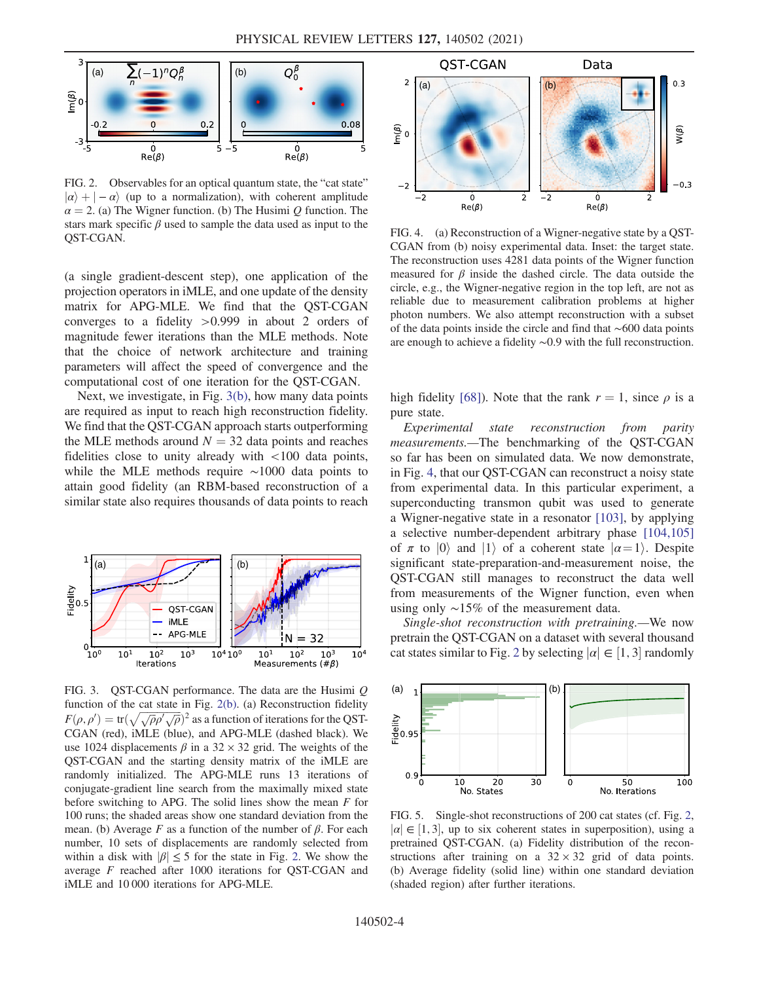<span id="page-3-0"></span>

FIG. 2. Observables for an optical quantum state, the "cat state"  $|\alpha\rangle + | - \alpha\rangle$  (up to a normalization), with coherent amplitude  $\alpha = 2$ . (a) The Wigner function. (b) The Husimi Q function. The stars mark specific  $\beta$  used to sample the data used as input to the QST-CGAN.

(a single gradient-descent step), one application of the projection operators in iMLE, and one update of the density matrix for APG-MLE. We find that the QST-CGAN converges to a fidelity >0.999 in about 2 orders of magnitude fewer iterations than the MLE methods. Note that the choice of network architecture and training parameters will affect the speed of convergence and the computational cost of one iteration for the QST-CGAN.

Next, we investigate, in Fig. [3\(b\),](#page-3-1) how many data points are required as input to reach high reconstruction fidelity. We find that the QST-CGAN approach starts outperforming the MLE methods around  $N = 32$  data points and reaches fidelities close to unity already with <100 data points, while the MLE methods require ∼1000 data points to attain good fidelity (an RBM-based reconstruction of a similar state also requires thousands of data points to reach

<span id="page-3-1"></span>

FIG. 3. QST-CGAN performance. The data are the Husimi  $Q$ function of the cat state in Fig. [2\(b\).](#page-3-0) (a) Reconstruction fidelity  $F(\rho, \rho') = \text{tr}(\sqrt{\sqrt{\rho} \rho' \sqrt{\rho}})^2$  as a function of iterations for the QST-<br>CGAN (red), iMLE (blue), and APG MLE (dashed black). We CGAN (red), iMLE (blue), and APG-MLE (dashed black). We use 1024 displacements  $\beta$  in a 32 × 32 grid. The weights of the QST-CGAN and the starting density matrix of the iMLE are randomly initialized. The APG-MLE runs 13 iterations of conjugate-gradient line search from the maximally mixed state before switching to APG. The solid lines show the mean  $F$  for 100 runs; the shaded areas show one standard deviation from the mean. (b) Average F as a function of the number of  $\beta$ . For each number, 10 sets of displacements are randomly selected from within a disk with  $|\beta| \leq 5$  for the state in Fig. [2.](#page-3-0) We show the average F reached after 1000 iterations for QST-CGAN and iMLE and 10 000 iterations for APG-MLE.

<span id="page-3-2"></span>

FIG. 4. (a) Reconstruction of a Wigner-negative state by a QST-CGAN from (b) noisy experimental data. Inset: the target state. The reconstruction uses 4281 data points of the Wigner function measured for  $\beta$  inside the dashed circle. The data outside the circle, e.g., the Wigner-negative region in the top left, are not as reliable due to measurement calibration problems at higher photon numbers. We also attempt reconstruction with a subset of the data points inside the circle and find that ∼600 data points are enough to achieve a fidelity ∼0.9 with the full reconstruction.

high fidelity [\[68\]](#page-6-10)). Note that the rank  $r = 1$ , since  $\rho$  is a pure state.

Experimental state reconstruction from parity measurements.—The benchmarking of the QST-CGAN so far has been on simulated data. We now demonstrate, in Fig. [4,](#page-3-2) that our QST-CGAN can reconstruct a noisy state from experimental data. In this particular experiment, a superconducting transmon qubit was used to generate a Wigner-negative state in a resonator [\[103\]](#page-7-15), by applying a selective number-dependent arbitrary phase [\[104,105\]](#page-7-16) of  $\pi$  to  $|0\rangle$  and  $|1\rangle$  of a coherent state  $|\alpha=1\rangle$ . Despite significant state-preparation-and-measurement noise, the QST-CGAN still manages to reconstruct the data well from measurements of the Wigner function, even when using only ∼15% of the measurement data.

Single-shot reconstruction with pretraining.—We now pretrain the QST-CGAN on a dataset with several thousand cat states similar to Fig. [2](#page-3-0) by selecting  $|\alpha| \in [1, 3]$  randomly

<span id="page-3-3"></span>

FIG. 5. Single-shot reconstructions of 200 cat states (cf. Fig. [2,](#page-3-0)  $|\alpha| \in [1, 3]$ , up to six coherent states in superposition), using a pretrained OST-CGAN (a) Fidelity distribution of the reconpretrained QST-CGAN. (a) Fidelity distribution of the reconstructions after training on a  $32 \times 32$  grid of data points. (b) Average fidelity (solid line) within one standard deviation (shaded region) after further iterations.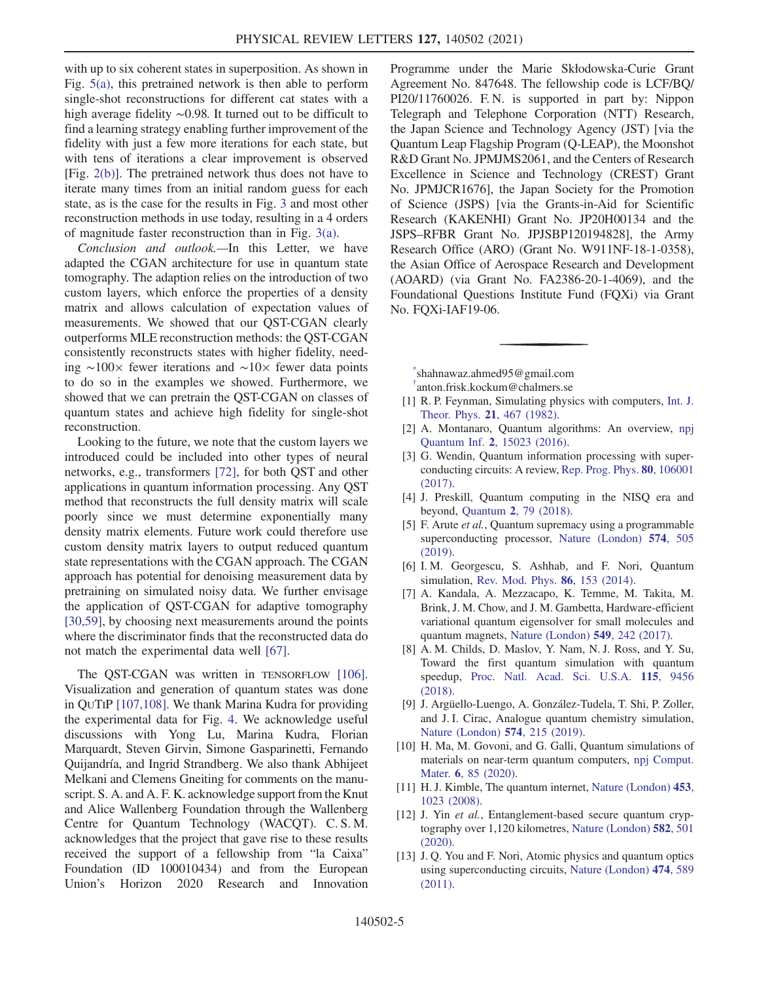with up to six coherent states in superposition. As shown in Fig. [5\(a\)](#page-3-3), this pretrained network is then able to perform single-shot reconstructions for different cat states with a high average fidelity ∼0.98. It turned out to be difficult to find a learning strategy enabling further improvement of the fidelity with just a few more iterations for each state, but with tens of iterations a clear improvement is observed [Fig. [2\(b\)\]](#page-3-0). The pretrained network thus does not have to iterate many times from an initial random guess for each state, as is the case for the results in Fig. [3](#page-3-1) and most other reconstruction methods in use today, resulting in a 4 orders of magnitude faster reconstruction than in Fig. [3\(a\)](#page-3-1).

Conclusion and outlook.—In this Letter, we have adapted the CGAN architecture for use in quantum state tomography. The adaption relies on the introduction of two custom layers, which enforce the properties of a density matrix and allows calculation of expectation values of measurements. We showed that our QST-CGAN clearly outperforms MLE reconstruction methods: the QST-CGAN consistently reconstructs states with higher fidelity, needing ∼100× fewer iterations and ∼10× fewer data points to do so in the examples we showed. Furthermore, we showed that we can pretrain the QST-CGAN on classes of quantum states and achieve high fidelity for single-shot reconstruction.

Looking to the future, we note that the custom layers we introduced could be included into other types of neural networks, e.g., transformers [\[72\],](#page-6-9) for both QST and other applications in quantum information processing. Any QST method that reconstructs the full density matrix will scale poorly since we must determine exponentially many density matrix elements. Future work could therefore use custom density matrix layers to output reduced quantum state representations with the CGAN approach. The CGAN approach has potential for denoising measurement data by pretraining on simulated noisy data. We further envisage the application of QST-CGAN for adaptive tomography [\[30,59\]](#page-5-13), by choosing next measurements around the points where the discriminator finds that the reconstructed data do not match the experimental data well [\[67\]](#page-6-11).

The QST-CGAN was written in TENSORFLOW [\[106\]](#page-7-17). Visualization and generation of quantum states was done in QUTIP [\[107,108\]](#page-7-18). We thank Marina Kudra for providing the experimental data for Fig. [4](#page-3-2). We acknowledge useful discussions with Yong Lu, Marina Kudra, Florian Marquardt, Steven Girvin, Simone Gasparinetti, Fernando Quijandría, and Ingrid Strandberg. We also thank Abhijeet Melkani and Clemens Gneiting for comments on the manuscript. S. A. and A. F. K. acknowledge support from the Knut and Alice Wallenberg Foundation through the Wallenberg Centre for Quantum Technology (WACQT). C. S. M. acknowledges that the project that gave rise to these results received the support of a fellowship from "la Caixa" Foundation (ID 100010434) and from the European Union's Horizon 2020 Research and Innovation Programme under the Marie Skłodowska-Curie Grant Agreement No. 847648. The fellowship code is LCF/BQ/ PI20/11760026. F. N. is supported in part by: Nippon Telegraph and Telephone Corporation (NTT) Research, the Japan Science and Technology Agency (JST) [via the Quantum Leap Flagship Program (Q-LEAP), the Moonshot R&D Grant No. JPMJMS2061, and the Centers of Research Excellence in Science and Technology (CREST) Grant No. JPMJCR1676], the Japan Society for the Promotion of Science (JSPS) [via the Grants-in-Aid for Scientific Research (KAKENHI) Grant No. JP20H00134 and the JSPS–RFBR Grant No. JPJSBP120194828], the Army Research Office (ARO) (Grant No. W911NF-18-1-0358), the Asian Office of Aerospace Research and Development (AOARD) (via Grant No. FA2386-20-1-4069), and the Foundational Questions Institute Fund (FQXi) via Grant No. FQXi-IAF19-06.

<span id="page-4-2"></span><span id="page-4-1"></span><span id="page-4-0"></span>[\\*](#page-0-0) shahnawaz.ahmed95@gmail.com [†](#page-0-0) anton.frisk.kockum@chalmers.se

- [1] R. P. Feynman, Simulating physics with computers, [Int. J.](https://doi.org/10.1007/BF02650179) [Theor. Phys.](https://doi.org/10.1007/BF02650179) 21, 467 (1982).
- [2] A. Montanaro, Quantum algorithms: An overview, [npj](https://doi.org/10.1038/npjqi.2015.23) Quantum Inf. 2[, 15023 \(2016\)](https://doi.org/10.1038/npjqi.2015.23).
- <span id="page-4-6"></span>[3] G. Wendin, Quantum information processing with superconducting circuits: A review, [Rep. Prog. Phys.](https://doi.org/10.1088/1361-6633/aa7e1a) 80, 106001 [\(2017\).](https://doi.org/10.1088/1361-6633/aa7e1a)
- <span id="page-4-5"></span>[4] J. Preskill, Quantum computing in the NISQ era and beyond, Quantum 2[, 79 \(2018\)](https://doi.org/10.22331/q-2018-08-06-79).
- <span id="page-4-3"></span>[5] F. Arute et al., Quantum supremacy using a programmable superconducting processor, [Nature \(London\)](https://doi.org/10.1038/s41586-019-1666-5) 574, 505 [\(2019\).](https://doi.org/10.1038/s41586-019-1666-5)
- [6] I. M. Georgescu, S. Ashhab, and F. Nori, Quantum simulation, [Rev. Mod. Phys.](https://doi.org/10.1103/RevModPhys.86.153) 86, 153 (2014).
- [7] A. Kandala, A. Mezzacapo, K. Temme, M. Takita, M. Brink, J. M. Chow, and J. M. Gambetta, Hardware-efficient variational quantum eigensolver for small molecules and quantum magnets, [Nature \(London\)](https://doi.org/10.1038/nature23879) 549, 242 (2017).
- [8] A. M. Childs, D. Maslov, Y. Nam, N. J. Ross, and Y. Su, Toward the first quantum simulation with quantum speedup, [Proc. Natl. Acad. Sci. U.S.A.](https://doi.org/10.1073/pnas.1801723115) 115, 9456 [\(2018\).](https://doi.org/10.1073/pnas.1801723115)
- [9] J. Argüello-Luengo, A. González-Tudela, T. Shi, P. Zoller, and J. I. Cirac, Analogue quantum chemistry simulation, [Nature \(London\)](https://doi.org/10.1038/s41586-019-1614-4) 574, 215 (2019).
- <span id="page-4-4"></span>[10] H. Ma, M. Govoni, and G. Galli, Quantum simulations of materials on near-term quantum computers, [npj Comput.](https://doi.org/10.1038/s41524-020-00353-z) Mater. **6**[, 85 \(2020\).](https://doi.org/10.1038/s41524-020-00353-z)
- [11] H. J. Kimble, The quantum internet, [Nature \(London\)](https://doi.org/10.1038/nature07127) 453, [1023 \(2008\).](https://doi.org/10.1038/nature07127)
- [12] J. Yin *et al.*, Entanglement-based secure quantum cryptography over 1,120 kilometres, [Nature \(London\)](https://doi.org/10.1038/s41586-020-2401-y) 582, 501 [\(2020\).](https://doi.org/10.1038/s41586-020-2401-y)
- [13] J. Q. You and F. Nori, Atomic physics and quantum optics using superconducting circuits, [Nature \(London\)](https://doi.org/10.1038/nature10122) 474, 589 [\(2011\).](https://doi.org/10.1038/nature10122)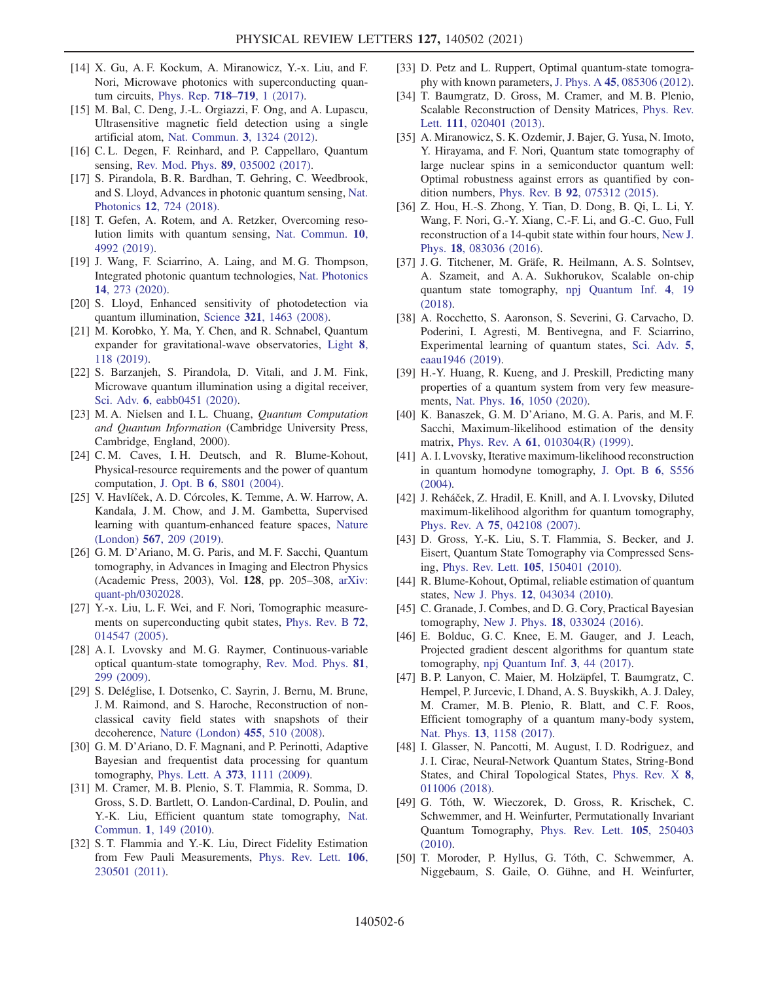- [14] X. Gu, A. F. Kockum, A. Miranowicz, Y.-x. Liu, and F. Nori, Microwave photonics with superconducting quantum circuits, [Phys. Rep.](https://doi.org/10.1016/j.physrep.2017.10.002) 718–719, 1 (2017).
- [15] M. Bal, C. Deng, J.-L. Orgiazzi, F. Ong, and A. Lupascu, Ultrasensitive magnetic field detection using a single artificial atom, [Nat. Commun.](https://doi.org/10.1038/ncomms2332) 3, 1324 (2012).
- [16] C. L. Degen, F. Reinhard, and P. Cappellaro, Quantum sensing, [Rev. Mod. Phys.](https://doi.org/10.1103/RevModPhys.89.035002) 89, 035002 (2017).
- [17] S. Pirandola, B. R. Bardhan, T. Gehring, C. Weedbrook, and S. Lloyd, Advances in photonic quantum sensing, [Nat.](https://doi.org/10.1038/s41566-018-0301-6) Photonics 12[, 724 \(2018\)](https://doi.org/10.1038/s41566-018-0301-6).
- [18] T. Gefen, A. Rotem, and A. Retzker, Overcoming resolution limits with quantum sensing, [Nat. Commun.](https://doi.org/10.1038/s41467-019-12817-y) 10, [4992 \(2019\).](https://doi.org/10.1038/s41467-019-12817-y)
- [19] J. Wang, F. Sciarrino, A. Laing, and M. G. Thompson, Integrated photonic quantum technologies, [Nat. Photonics](https://doi.org/10.1038/s41566-019-0532-1) 14[, 273 \(2020\)](https://doi.org/10.1038/s41566-019-0532-1).
- [20] S. Lloyd, Enhanced sensitivity of photodetection via quantum illumination, Science 321[, 1463 \(2008\).](https://doi.org/10.1126/science.1160627)
- [21] M. Korobko, Y. Ma, Y. Chen, and R. Schnabel, Quantum expander for gravitational-wave observatories, [Light](https://doi.org/10.1038/s41377-019-0230-2) 8, [118 \(2019\)](https://doi.org/10.1038/s41377-019-0230-2).
- [22] S. Barzanjeh, S. Pirandola, D. Vitali, and J.M. Fink, Microwave quantum illumination using a digital receiver, Sci. Adv. 6[, eabb0451 \(2020\)](https://doi.org/10.1126/sciadv.abb0451).
- <span id="page-5-0"></span>[23] M. A. Nielsen and I. L. Chuang, Quantum Computation and Quantum Information (Cambridge University Press, Cambridge, England, 2000).
- [24] C. M. Caves, I. H. Deutsch, and R. Blume-Kohout, Physical-resource requirements and the power of quantum computation, J. Opt. B 6[, S801 \(2004\).](https://doi.org/10.1088/1464-4266/6/8/027)
- [25] V. Havlíček, A. D. Córcoles, K. Temme, A. W. Harrow, A. Kandala, J. M. Chow, and J. M. Gambetta, Supervised learning with quantum-enhanced feature spaces, [Nature](https://doi.org/10.1038/s41586-019-0980-2) (London) 567[, 209 \(2019\)](https://doi.org/10.1038/s41586-019-0980-2).
- <span id="page-5-1"></span>[26] G. M. D'Ariano, M. G. Paris, and M. F. Sacchi, Quantum tomography, in Advances in Imaging and Electron Physics (Academic Press, 2003), Vol. 128, pp. 205–308, [arXiv:](https://arXiv.org/abs/quant-ph/0302028) [quant-ph/0302028.](https://arXiv.org/abs/quant-ph/0302028)
- [27] Y.-x. Liu, L. F. Wei, and F. Nori, Tomographic measurements on superconducting qubit states, [Phys. Rev. B](https://doi.org/10.1103/PhysRevB.72.014547) 72, [014547 \(2005\).](https://doi.org/10.1103/PhysRevB.72.014547)
- <span id="page-5-11"></span>[28] A. I. Lvovsky and M. G. Raymer, Continuous-variable optical quantum-state tomography, [Rev. Mod. Phys.](https://doi.org/10.1103/RevModPhys.81.299) 81, [299 \(2009\)](https://doi.org/10.1103/RevModPhys.81.299).
- <span id="page-5-2"></span>[29] S. Deléglise, I. Dotsenko, C. Sayrin, J. Bernu, M. Brune, J. M. Raimond, and S. Haroche, Reconstruction of nonclassical cavity field states with snapshots of their decoherence, [Nature \(London\)](https://doi.org/10.1038/nature07288) 455, 510 (2008).
- <span id="page-5-13"></span>[30] G. M. D'Ariano, D. F. Magnani, and P. Perinotti, Adaptive Bayesian and frequentist data processing for quantum tomography, Phys. Lett. A 373[, 1111 \(2009\).](https://doi.org/10.1016/j.physleta.2009.01.055)
- <span id="page-5-8"></span>[31] M. Cramer, M. B. Plenio, S. T. Flammia, R. Somma, D. Gross, S. D. Bartlett, O. Landon-Cardinal, D. Poulin, and Y.-K. Liu, Efficient quantum state tomography, [Nat.](https://doi.org/10.1038/ncomms1147) Commun. 1[, 149 \(2010\).](https://doi.org/10.1038/ncomms1147)
- [32] S. T. Flammia and Y.-K. Liu, Direct Fidelity Estimation from Few Pauli Measurements, [Phys. Rev. Lett.](https://doi.org/10.1103/PhysRevLett.106.230501) 106, [230501 \(2011\).](https://doi.org/10.1103/PhysRevLett.106.230501)
- [33] D. Petz and L. Ruppert, Optimal quantum-state tomography with known parameters, J. Phys. A 45[, 085306 \(2012\).](https://doi.org/10.1088/1751-8113/45/8/085306)
- [34] T. Baumgratz, D. Gross, M. Cramer, and M. B. Plenio, Scalable Reconstruction of Density Matrices, [Phys. Rev.](https://doi.org/10.1103/PhysRevLett.111.020401) Lett. 111[, 020401 \(2013\)](https://doi.org/10.1103/PhysRevLett.111.020401).
- [35] A. Miranowicz, S. K. Ozdemir, J. Bajer, G. Yusa, N. Imoto, Y. Hirayama, and F. Nori, Quantum state tomography of large nuclear spins in a semiconductor quantum well: Optimal robustness against errors as quantified by condition numbers, Phys. Rev. B 92[, 075312 \(2015\)](https://doi.org/10.1103/PhysRevB.92.075312).
- [36] Z. Hou, H.-S. Zhong, Y. Tian, D. Dong, B. Qi, L. Li, Y. Wang, F. Nori, G.-Y. Xiang, C.-F. Li, and G.-C. Guo, Full reconstruction of a 14-qubit state within four hours, [New J.](https://doi.org/10.1088/1367-2630/18/8/083036) Phys. 18[, 083036 \(2016\).](https://doi.org/10.1088/1367-2630/18/8/083036)
- [37] J. G. Titchener, M. Gräfe, R. Heilmann, A. S. Solntsev, A. Szameit, and A. A. Sukhorukov, Scalable on-chip quantum state tomography, [npj Quantum Inf.](https://doi.org/10.1038/s41534-018-0063-5) 4, 19 [\(2018\).](https://doi.org/10.1038/s41534-018-0063-5)
- [38] A. Rocchetto, S. Aaronson, S. Severini, G. Carvacho, D. Poderini, I. Agresti, M. Bentivegna, and F. Sciarrino, Experimental learning of quantum states, [Sci. Adv.](https://doi.org/10.1126/sciadv.aau1946) 5, [eaau1946 \(2019\)](https://doi.org/10.1126/sciadv.aau1946).
- [39] H.-Y. Huang, R. Kueng, and J. Preskill, Predicting many properties of a quantum system from very few measurements, Nat. Phys. 16[, 1050 \(2020\).](https://doi.org/10.1038/s41567-020-0932-7)
- <span id="page-5-3"></span>[40] K. Banaszek, G. M. D'Ariano, M. G. A. Paris, and M. F. Sacchi, Maximum-likelihood estimation of the density matrix, Phys. Rev. A 61[, 010304\(R\) \(1999\).](https://doi.org/10.1103/PhysRevA.61.010304)
- <span id="page-5-12"></span>[41] A. I. Lvovsky, Iterative maximum-likelihood reconstruction in quantum homodyne tomography, [J. Opt. B](https://doi.org/10.1088/1464-4266/6/6/014) 6, S556  $(2004)$ .
- <span id="page-5-4"></span>[42] J. Reháček, Z. Hradil, E. Knill, and A. I. Lvovsky, Diluted maximum-likelihood algorithm for quantum tomography, Phys. Rev. A 75[, 042108 \(2007\)](https://doi.org/10.1103/PhysRevA.75.042108).
- <span id="page-5-5"></span>[43] D. Gross, Y.-K. Liu, S. T. Flammia, S. Becker, and J. Eisert, Quantum State Tomography via Compressed Sensing, Phys. Rev. Lett. 105[, 150401 \(2010\)](https://doi.org/10.1103/PhysRevLett.105.150401).
- <span id="page-5-6"></span>[44] R. Blume-Kohout, Optimal, reliable estimation of quantum states, New J. Phys. 12[, 043034 \(2010\).](https://doi.org/10.1088/1367-2630/12/4/043034)
- <span id="page-5-7"></span>[45] C. Granade, J. Combes, and D. G. Cory, Practical Bayesian tomography, New J. Phys. 18[, 033024 \(2016\).](https://doi.org/10.1088/1367-2630/18/3/033024)
- [46] E. Bolduc, G. C. Knee, E. M. Gauger, and J. Leach, Projected gradient descent algorithms for quantum state tomography, [npj Quantum Inf.](https://doi.org/10.1038/s41534-017-0043-1) 3, 44 (2017).
- [47] B. P. Lanyon, C. Maier, M. Holzäpfel, T. Baumgratz, C. Hempel, P. Jurcevic, I. Dhand, A. S. Buyskikh, A. J. Daley, M. Cramer, M. B. Plenio, R. Blatt, and C. F. Roos, Efficient tomography of a quantum many-body system, Nat. Phys. 13[, 1158 \(2017\).](https://doi.org/10.1038/nphys4244)
- <span id="page-5-10"></span>[48] I. Glasser, N. Pancotti, M. August, I.D. Rodriguez, and J. I. Cirac, Neural-Network Quantum States, String-Bond States, and Chiral Topological States, [Phys. Rev. X](https://doi.org/10.1103/PhysRevX.8.011006) 8, [011006 \(2018\).](https://doi.org/10.1103/PhysRevX.8.011006)
- <span id="page-5-9"></span>[49] G. Tóth, W. Wieczorek, D. Gross, R. Krischek, C. Schwemmer, and H. Weinfurter, Permutationally Invariant Quantum Tomography, [Phys. Rev. Lett.](https://doi.org/10.1103/PhysRevLett.105.250403) 105, 250403 [\(2010\).](https://doi.org/10.1103/PhysRevLett.105.250403)
- [50] T. Moroder, P. Hyllus, G. Tóth, C. Schwemmer, A. Niggebaum, S. Gaile, O. Gühne, and H. Weinfurter,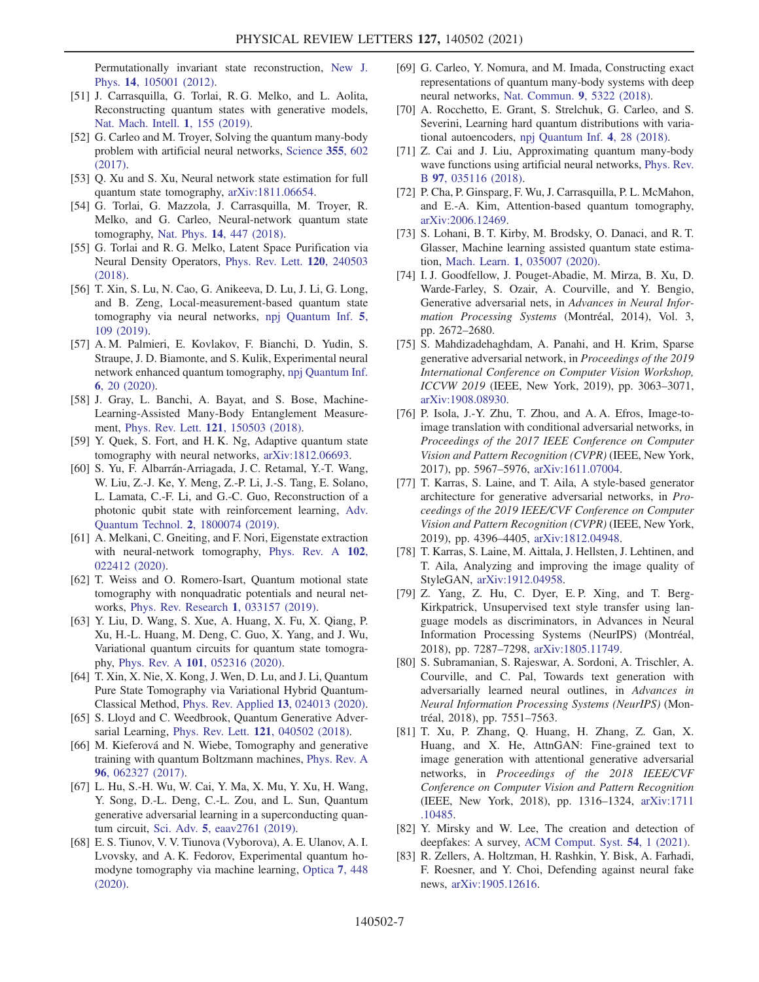Permutationally invariant state reconstruction, [New J.](https://doi.org/10.1088/1367-2630/14/10/105001) Phys. 14[, 105001 \(2012\).](https://doi.org/10.1088/1367-2630/14/10/105001)

- <span id="page-6-0"></span>[51] J. Carrasquilla, G. Torlai, R. G. Melko, and L. Aolita, Reconstructing quantum states with generative models, [Nat. Mach. Intell.](https://doi.org/10.1038/s42256-019-0028-1) 1, 155 (2019).
- <span id="page-6-1"></span>[52] G. Carleo and M. Troyer, Solving the quantum many-body problem with artificial neural networks, [Science](https://doi.org/10.1126/science.aag2302) 355, 602 [\(2017\).](https://doi.org/10.1126/science.aag2302)
- [53] Q. Xu and S. Xu, Neural network state estimation for full quantum state tomography, [arXiv:1811.06654](https://arXiv.org/abs/1811.06654).
- [54] G. Torlai, G. Mazzola, J. Carrasquilla, M. Troyer, R. Melko, and G. Carleo, Neural-network quantum state tomography, Nat. Phys. 14[, 447 \(2018\).](https://doi.org/10.1038/s41567-018-0048-5)
- [55] G. Torlai and R. G. Melko, Latent Space Purification via Neural Density Operators, [Phys. Rev. Lett.](https://doi.org/10.1103/PhysRevLett.120.240503) 120, 240503 [\(2018\).](https://doi.org/10.1103/PhysRevLett.120.240503)
- [56] T. Xin, S. Lu, N. Cao, G. Anikeeva, D. Lu, J. Li, G. Long, and B. Zeng, Local-measurement-based quantum state tomography via neural networks, [npj Quantum Inf.](https://doi.org/10.1038/s41534-019-0222-3) 5, [109 \(2019\)](https://doi.org/10.1038/s41534-019-0222-3).
- <span id="page-6-2"></span>[57] A. M. Palmieri, E. Kovlakov, F. Bianchi, D. Yudin, S. Straupe, J. D. Biamonte, and S. Kulik, Experimental neural network enhanced quantum tomography, [npj Quantum Inf.](https://doi.org/10.1038/s41534-020-0248-6) 6[, 20 \(2020\).](https://doi.org/10.1038/s41534-020-0248-6)
- [58] J. Gray, L. Banchi, A. Bayat, and S. Bose, Machine-Learning-Assisted Many-Body Entanglement Measurement, Phys. Rev. Lett. 121[, 150503 \(2018\)](https://doi.org/10.1103/PhysRevLett.121.150503).
- [59] Y. Quek, S. Fort, and H. K. Ng, Adaptive quantum state tomography with neural networks, [arXiv:1812.06693.](https://arXiv.org/abs/1812.06693)
- [60] S. Yu, F. Albarrán-Arriagada, J. C. Retamal, Y.-T. Wang, W. Liu, Z.-J. Ke, Y. Meng, Z.-P. Li, J.-S. Tang, E. Solano, L. Lamata, C.-F. Li, and G.-C. Guo, Reconstruction of a photonic qubit state with reinforcement learning, [Adv.](https://doi.org/10.1002/qute.201800074) [Quantum Technol.](https://doi.org/10.1002/qute.201800074) 2, 1800074 (2019).
- [61] A. Melkani, C. Gneiting, and F. Nori, Eigenstate extraction with neural-network tomography, [Phys. Rev. A](https://doi.org/10.1103/PhysRevA.102.022412) 102, [022412 \(2020\).](https://doi.org/10.1103/PhysRevA.102.022412)
- [62] T. Weiss and O. Romero-Isart, Quantum motional state tomography with nonquadratic potentials and neural networks, [Phys. Rev. Research](https://doi.org/10.1103/PhysRevResearch.1.033157) 1, 033157 (2019).
- [63] Y. Liu, D. Wang, S. Xue, A. Huang, X. Fu, X. Qiang, P. Xu, H.-L. Huang, M. Deng, C. Guo, X. Yang, and J. Wu, Variational quantum circuits for quantum state tomography, Phys. Rev. A 101[, 052316 \(2020\)](https://doi.org/10.1103/PhysRevA.101.052316).
- [64] T. Xin, X. Nie, X. Kong, J. Wen, D. Lu, and J. Li, Quantum Pure State Tomography via Variational Hybrid Quantum-Classical Method, [Phys. Rev. Applied](https://doi.org/10.1103/PhysRevApplied.13.024013) 13, 024013 (2020).
- [65] S. Lloyd and C. Weedbrook, Quantum Generative Adversarial Learning, Phys. Rev. Lett. 121[, 040502 \(2018\).](https://doi.org/10.1103/PhysRevLett.121.040502)
- [66] M. Kieferová and N. Wiebe, Tomography and generative training with quantum Boltzmann machines, [Phys. Rev. A](https://doi.org/10.1103/PhysRevA.96.062327) 96[, 062327 \(2017\).](https://doi.org/10.1103/PhysRevA.96.062327)
- <span id="page-6-11"></span>[67] L. Hu, S.-H. Wu, W. Cai, Y. Ma, X. Mu, Y. Xu, H. Wang, Y. Song, D.-L. Deng, C.-L. Zou, and L. Sun, Quantum generative adversarial learning in a superconducting quantum circuit, Sci. Adv. 5[, eaav2761 \(2019\)](https://doi.org/10.1126/sciadv.aav2761).
- <span id="page-6-10"></span>[68] E. S. Tiunov, V. V. Tiunova (Vyborova), A. E. Ulanov, A. I. Lvovsky, and A. K. Fedorov, Experimental quantum homodyne tomography via machine learning, [Optica](https://doi.org/10.1364/OPTICA.389482) 7, 448 [\(2020\).](https://doi.org/10.1364/OPTICA.389482)
- [69] G. Carleo, Y. Nomura, and M. Imada, Constructing exact representations of quantum many-body systems with deep neural networks, [Nat. Commun.](https://doi.org/10.1038/s41467-018-07520-3) 9, 5322 (2018).
- [70] A. Rocchetto, E. Grant, S. Strelchuk, G. Carleo, and S. Severini, Learning hard quantum distributions with variational autoencoders, [npj Quantum Inf.](https://doi.org/10.1038/s41534-018-0077-z) 4, 28 (2018).
- [71] Z. Cai and J. Liu, Approximating quantum many-body wave functions using artificial neural networks, [Phys. Rev.](https://doi.org/10.1103/PhysRevB.97.035116) B 97[, 035116 \(2018\)](https://doi.org/10.1103/PhysRevB.97.035116).
- <span id="page-6-9"></span>[72] P. Cha, P. Ginsparg, F. Wu, J. Carrasquilla, P. L. McMahon, and E.-A. Kim, Attention-based quantum tomography, [arXiv:2006.12469](https://arXiv.org/abs/2006.12469).
- <span id="page-6-8"></span>[73] S. Lohani, B. T. Kirby, M. Brodsky, O. Danaci, and R. T. Glasser, Machine learning assisted quantum state estimation, Mach. Learn. 1[, 035007 \(2020\)](https://doi.org/10.1088/2632-2153/ab9a21).
- <span id="page-6-3"></span>[74] I. J. Goodfellow, J. Pouget-Abadie, M. Mirza, B. Xu, D. Warde-Farley, S. Ozair, A. Courville, and Y. Bengio, Generative adversarial nets, in Advances in Neural Information Processing Systems (Montréal, 2014), Vol. 3, pp. 2672–2680.
- [75] S. Mahdizadehaghdam, A. Panahi, and H. Krim, Sparse generative adversarial network, in Proceedings of the 2019 International Conference on Computer Vision Workshop, ICCVW 2019 (IEEE, New York, 2019), pp. 3063–3071, [arXiv:1908.08930](https://arXiv.org/abs/1908.08930).
- <span id="page-6-4"></span>[76] P. Isola, J.-Y. Zhu, T. Zhou, and A. A. Efros, Image-toimage translation with conditional adversarial networks, in Proceedings of the 2017 IEEE Conference on Computer Vision and Pattern Recognition (CVPR) (IEEE, New York, 2017), pp. 5967–5976, [arXiv:1611.07004.](https://arXiv.org/abs/1611.07004)
- [77] T. Karras, S. Laine, and T. Aila, A style-based generator architecture for generative adversarial networks, in Proceedings of the 2019 IEEE/CVF Conference on Computer Vision and Pattern Recognition (CVPR) (IEEE, New York, 2019), pp. 4396–4405, [arXiv:1812.04948.](https://arXiv.org/abs/1812.04948)
- [78] T. Karras, S. Laine, M. Aittala, J. Hellsten, J. Lehtinen, and T. Aila, Analyzing and improving the image quality of StyleGAN, [arXiv:1912.04958.](https://arXiv.org/abs/1912.04958)
- <span id="page-6-5"></span>[79] Z. Yang, Z. Hu, C. Dyer, E. P. Xing, and T. Berg-Kirkpatrick, Unsupervised text style transfer using language models as discriminators, in Advances in Neural Information Processing Systems (NeurIPS) (Montréal, 2018), pp. 7287–7298, [arXiv:1805.11749.](https://arXiv.org/abs/1805.11749)
- [80] S. Subramanian, S. Rajeswar, A. Sordoni, A. Trischler, A. Courville, and C. Pal, Towards text generation with adversarially learned neural outlines, in Advances in Neural Information Processing Systems (NeurIPS) (Montréal, 2018), pp. 7551–7563.
- <span id="page-6-6"></span>[81] T. Xu, P. Zhang, Q. Huang, H. Zhang, Z. Gan, X. Huang, and X. He, AttnGAN: Fine-grained text to image generation with attentional generative adversarial networks, in Proceedings of the 2018 IEEE/CVF Conference on Computer Vision and Pattern Recognition (IEEE, New York, 2018), pp. 1316–1324, [arXiv:1711](https://arXiv.org/abs/1711.10485) [.10485.](https://arXiv.org/abs/1711.10485)
- <span id="page-6-7"></span>[82] Y. Mirsky and W. Lee, The creation and detection of deepfakes: A survey, [ACM Comput. Syst.](https://doi.org/10.1145/3425780) 54, 1 (2021).
- [83] R. Zellers, A. Holtzman, H. Rashkin, Y. Bisk, A. Farhadi, F. Roesner, and Y. Choi, Defending against neural fake news, [arXiv:1905.12616](https://arXiv.org/abs/1905.12616).